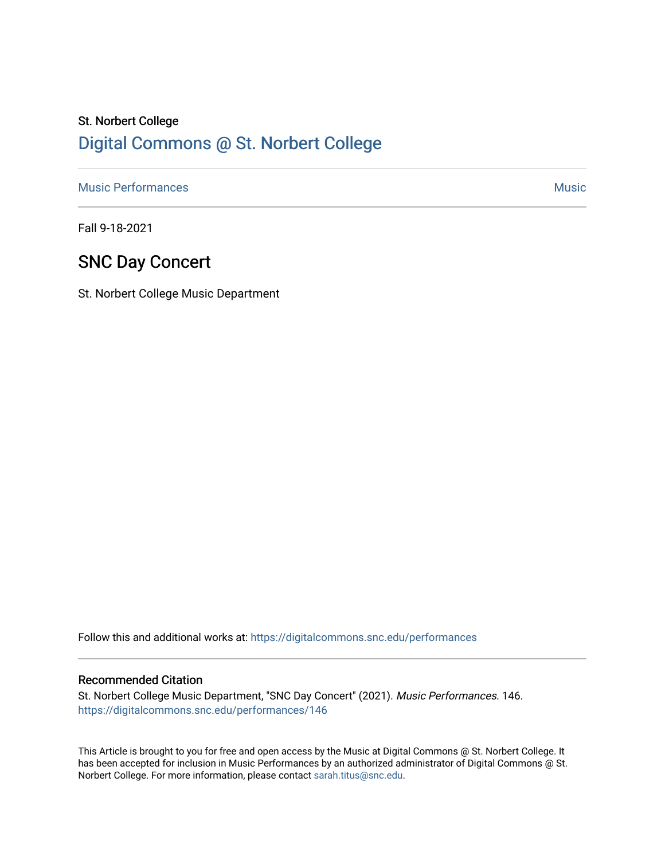# St. Norbert College [Digital Commons @ St. Norbert College](https://digitalcommons.snc.edu/)

[Music Performances](https://digitalcommons.snc.edu/performances) and the contract of the contract of the contract of the contract of the contract of the contract of the contract of the contract of the contract of the contract of the contract of the contract of the con

Fall 9-18-2021

# SNC Day Concert

St. Norbert College Music Department

Follow this and additional works at: [https://digitalcommons.snc.edu/performances](https://digitalcommons.snc.edu/performances?utm_source=digitalcommons.snc.edu%2Fperformances%2F146&utm_medium=PDF&utm_campaign=PDFCoverPages)

#### Recommended Citation

St. Norbert College Music Department, "SNC Day Concert" (2021). Music Performances. 146. [https://digitalcommons.snc.edu/performances/146](https://digitalcommons.snc.edu/performances/146?utm_source=digitalcommons.snc.edu%2Fperformances%2F146&utm_medium=PDF&utm_campaign=PDFCoverPages) 

This Article is brought to you for free and open access by the Music at Digital Commons @ St. Norbert College. It has been accepted for inclusion in Music Performances by an authorized administrator of Digital Commons @ St. Norbert College. For more information, please contact [sarah.titus@snc.edu](mailto:sarah.titus@snc.edu).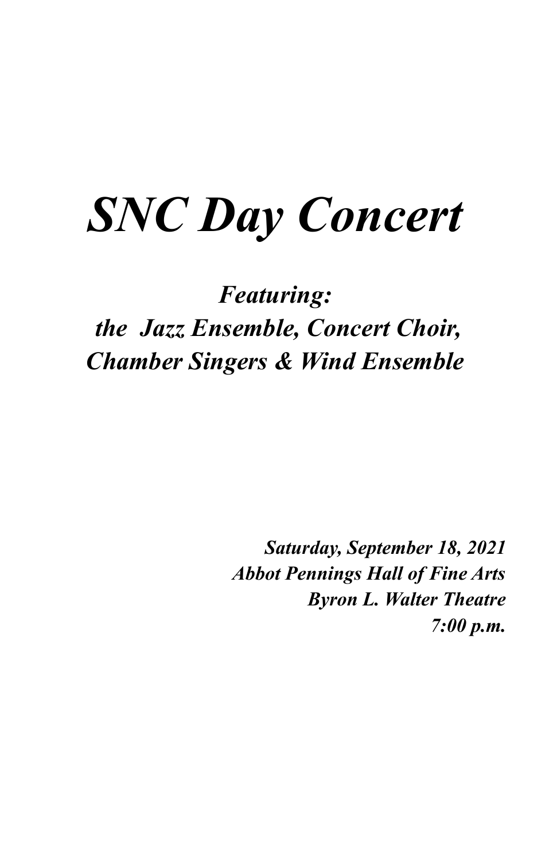# *SNC Day Concert*

# *Featuring: the Jazz Ensemble, Concert Choir, Chamber Singers & Wind Ensemble*

*Saturday, September 18, 2021 Abbot Pennings Hall of Fine Arts Byron L. Walter Theatre 7:00 p.m.*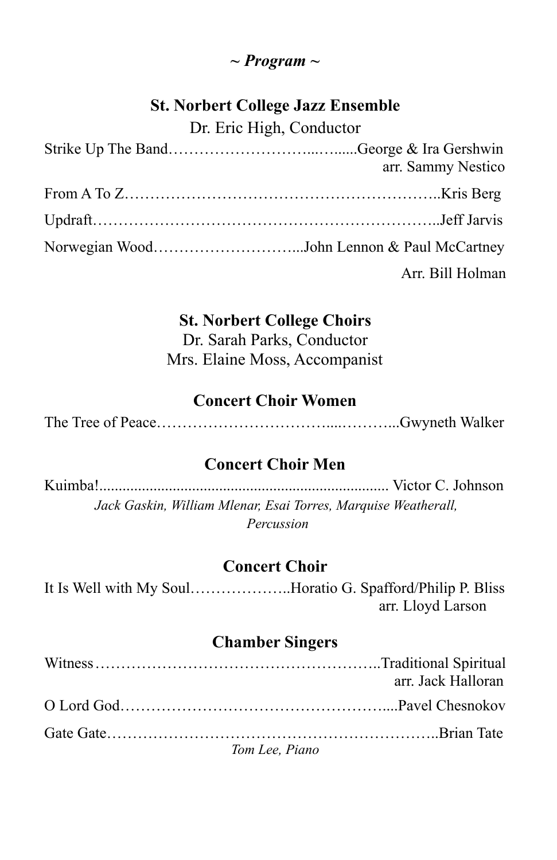### *~ Program ~*

# **St. Norbert College Jazz Ensemble**

Dr. Eric High, Conductor

| arr. Sammy Nestico |
|--------------------|
|                    |
|                    |
|                    |
| Arr. Bill Holman   |

## **St. Norbert College Choirs**

Dr. Sarah Parks, Conductor Mrs. Elaine Moss, Accompanist

## **Concert Choir Women**

The Tree of Peace……………………………....………...Gwyneth Walker

# **Concert Choir Men**

Kuimba!........................................................................... Victor C. Johnson *Jack Gaskin, William Mlenar, Esai Torres, Marquise Weatherall, Percussion*

# **Concert Choir**

It Is Well with My Soul………………..Horatio G. Spafford/Philip P. Bliss arr. Lloyd Larson

# **Chamber Singers**

|                | arr. Jack Halloran |
|----------------|--------------------|
|                |                    |
|                |                    |
| Tom Lee, Piano |                    |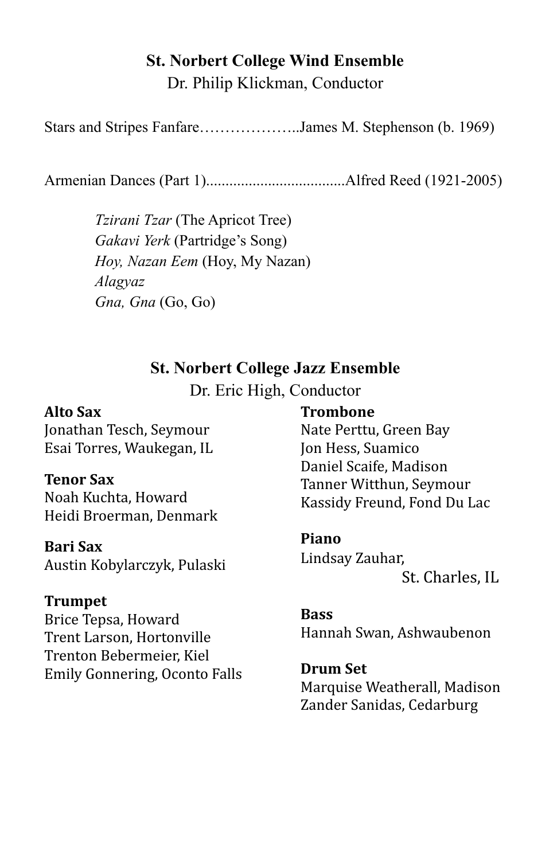#### **St. Norbert College Wind Ensemble** Dr. Philip Klickman, Conductor

Stars and Stripes Fanfare………………..James M. Stephenson (b. 1969)

Armenian Dances (Part 1)....................................Alfred Reed (1921-2005)

*Tzirani Tzar* (The Apricot Tree) *Gakavi Yerk* (Partridge's Song) *Hoy, Nazan Eem* (Hoy, My Nazan) *Alagyaz Gna, Gna* (Go, Go)

#### **St. Norbert College Jazz Ensemble**

Dr. Eric High, Conductor

#### **Alto Sax**

Jonathan Tesch, Seymour Esai Torres, Waukegan, IL

#### **Tenor Sax**

Noah Kuchta, Howard Heidi Broerman, Denmark

#### **Bari Sax**

Austin Kobylarczyk, Pulaski

#### **Trumpet**

Brice Tepsa, Howard Trent Larson, Hortonville Trenton Bebermeier, Kiel Emily Gonnering, Oconto Falls

#### **Trombone**

Nate Perttu, Green Bay Jon Hess, Suamico Daniel Scaife, Madison Tanner Witthun, Seymour Kassidy Freund, Fond Du Lac

#### **Piano**

Lindsay Zauhar,

St. Charles, IL

# **Bass**

Hannah Swan, Ashwaubenon

#### **Drum Set**

Marquise Weatherall, Madison Zander Sanidas, Cedarburg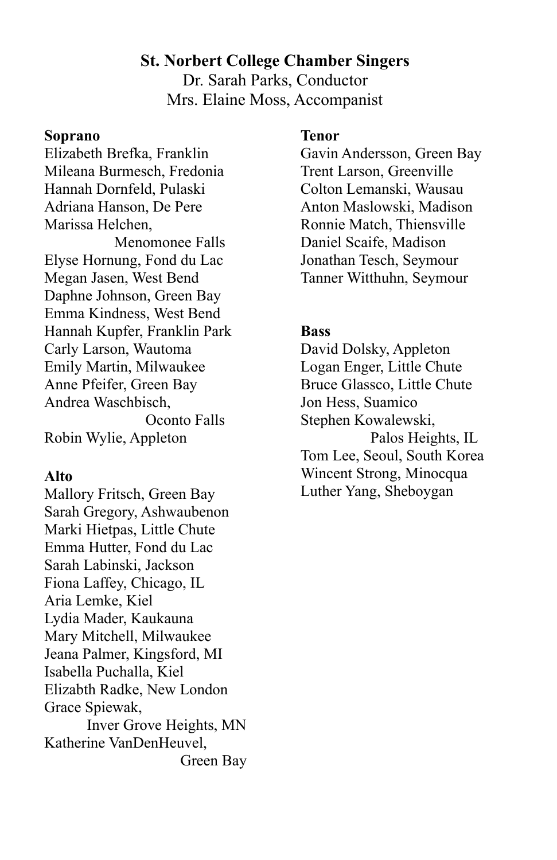#### **St. Norbert College Chamber Singers**

Dr. Sarah Parks, Conductor Mrs. Elaine Moss, Accompanist

#### **Soprano**

Elizabeth Brefka, Franklin Mileana Burmesch, Fredonia Hannah Dornfeld, Pulaski Adriana Hanson, De Pere Marissa Helchen,

Menomonee Falls Elyse Hornung, Fond du Lac Megan Jasen, West Bend Daphne Johnson, Green Bay Emma Kindness, West Bend Hannah Kupfer, Franklin Park Carly Larson, Wautoma Emily Martin, Milwaukee Anne Pfeifer, Green Bay Andrea Waschbisch, Oconto Falls Robin Wylie, Appleton

#### **Alto**

Mallory Fritsch, Green Bay Sarah Gregory, Ashwaubenon Marki Hietpas, Little Chute Emma Hutter, Fond du Lac Sarah Labinski, Jackson Fiona Laffey, Chicago, IL Aria Lemke, Kiel Lydia Mader, Kaukauna Mary Mitchell, Milwaukee Jeana Palmer, Kingsford, MI Isabella Puchalla, Kiel Elizabth Radke, New London Grace Spiewak, Inver Grove Heights, MN Katherine VanDenHeuvel, Green Bay

#### **Tenor**

Gavin Andersson, Green Bay Trent Larson, Greenville Colton Lemanski, Wausau Anton Maslowski, Madison Ronnie Match, Thiensville Daniel Scaife, Madison Jonathan Tesch, Seymour Tanner Witthuhn, Seymour

#### **Bass**

David Dolsky, Appleton Logan Enger, Little Chute Bruce Glassco, Little Chute Jon Hess, Suamico Stephen Kowalewski, Palos Heights, IL Tom Lee, Seoul, South Korea Wincent Strong, Minocqua Luther Yang, Sheboygan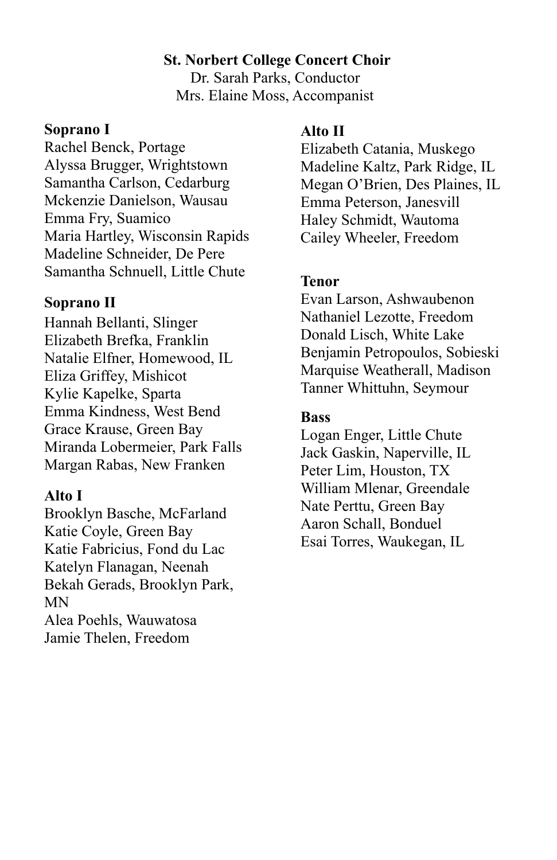#### **St. Norbert College Concert Choir**

Dr. Sarah Parks, Conductor Mrs. Elaine Moss, Accompanist

#### **Soprano I**

Rachel Benck, Portage Alyssa Brugger, Wrightstown Samantha Carlson, Cedarburg Mckenzie Danielson, Wausau Emma Fry, Suamico Maria Hartley, Wisconsin Rapids Madeline Schneider, De Pere Samantha Schnuell, Little Chute

#### **Soprano II**

Hannah Bellanti, Slinger Elizabeth Brefka, Franklin Natalie Elfner, Homewood, IL Eliza Griffey, Mishicot Kylie Kapelke, Sparta Emma Kindness, West Bend Grace Krause, Green Bay Miranda Lobermeier, Park Falls Margan Rabas, New Franken

#### **Alto I**

Brooklyn Basche, McFarland Katie Coyle, Green Bay Katie Fabricius, Fond du Lac Katelyn Flanagan, Neenah Bekah Gerads, Brooklyn Park, MN Alea Poehls, Wauwatosa Jamie Thelen, Freedom

#### **Alto II**

Elizabeth Catania, Muskego Madeline Kaltz, Park Ridge, IL Megan O'Brien, Des Plaines, IL Emma Peterson, Janesvill Haley Schmidt, Wautoma Cailey Wheeler, Freedom

#### **Tenor**

Evan Larson, Ashwaubenon Nathaniel Lezotte, Freedom Donald Lisch, White Lake Benjamin Petropoulos, Sobieski Marquise Weatherall, Madison Tanner Whittuhn, Seymour

#### **Bass**

Logan Enger, Little Chute Jack Gaskin, Naperville, IL Peter Lim, Houston, TX William Mlenar, Greendale Nate Perttu, Green Bay Aaron Schall, Bonduel Esai Torres, Waukegan, IL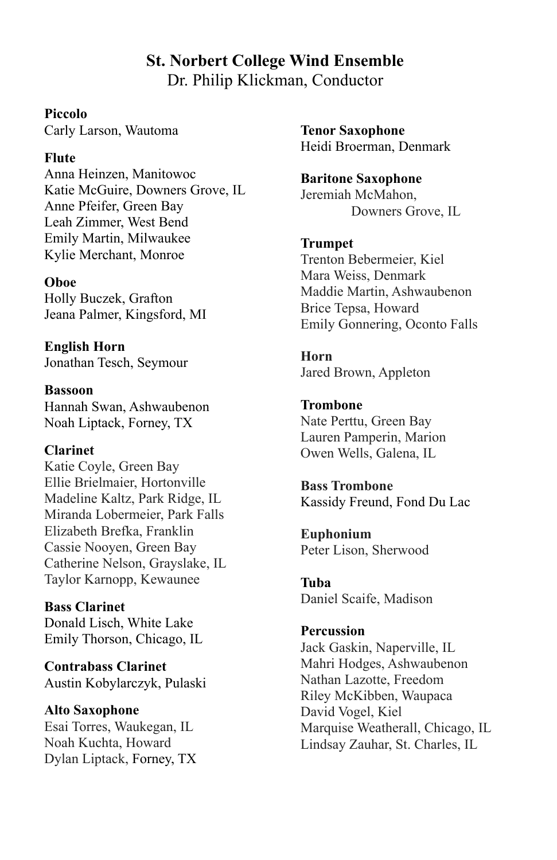#### **St. Norbert College Wind Ensemble** Dr. Philip Klickman, Conductor

#### **Piccolo**

Carly Larson, Wautoma

#### **Flute**

Anna Heinzen, Manitowoc Katie McGuire, Downers Grove, IL Anne Pfeifer, Green Bay Leah Zimmer, West Bend Emily Martin, Milwaukee Kylie Merchant, Monroe

#### **Oboe**

Holly Buczek, Grafton Jeana Palmer, Kingsford, MI

**English Horn** Jonathan Tesch, Seymour

**Bassoon** Hannah Swan, Ashwaubenon Noah Liptack, Forney, TX

#### **Clarinet**

Katie Coyle, Green Bay Ellie Brielmaier, Hortonville Madeline Kaltz, Park Ridge, IL Miranda Lobermeier, Park Falls Elizabeth Brefka, Franklin Cassie Nooyen, Green Bay Catherine Nelson, Grayslake, IL Taylor Karnopp, Kewaunee

**Bass Clarinet** Donald Lisch, White Lake Emily Thorson, Chicago, IL

**Contrabass Clarinet** Austin Kobylarczyk, Pulaski

**Alto Saxophone** Esai Torres, Waukegan, IL Noah Kuchta, Howard Dylan Liptack, Forney, TX **Tenor Saxophone** Heidi Broerman, Denmark

**Baritone Saxophone** Jeremiah McMahon, Downers Grove, IL

#### **Trumpet**

Trenton Bebermeier, Kiel Mara Weiss, Denmark Maddie Martin, Ashwaubenon Brice Tepsa, Howard Emily Gonnering, Oconto Falls

**Horn** Jared Brown, Appleton

**Trombone** Nate Perttu, Green Bay Lauren Pamperin, Marion Owen Wells, Galena, IL

**Bass Trombone** Kassidy Freund, Fond Du Lac

**Euphonium** Peter Lison, Sherwood

**Tuba** Daniel Scaife, Madison

#### **Percussion**

Jack Gaskin, Naperville, IL Mahri Hodges, Ashwaubenon Nathan Lazotte, Freedom Riley McKibben, Waupaca David Vogel, Kiel Marquise Weatherall, Chicago, IL Lindsay Zauhar, St. Charles, IL